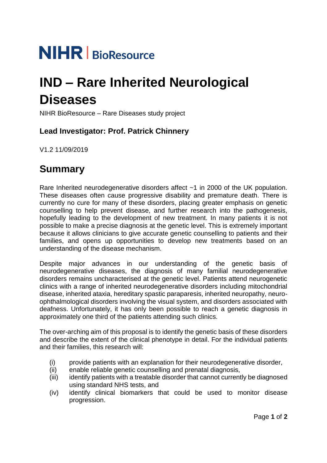# **NIHR** | BioResource

## **IND – Rare Inherited Neurological Diseases**

NIHR BioResource – Rare Diseases study project

### **Lead Investigator: Prof. Patrick Chinnery**

V1.2 11/09/2019

## **Summary**

Rare Inherited neurodegenerative disorders affect ~1 in 2000 of the UK population. These diseases often cause progressive disability and premature death. There is currently no cure for many of these disorders, placing greater emphasis on genetic counselling to help prevent disease, and further research into the pathogenesis, hopefully leading to the development of new treatment. In many patients it is not possible to make a precise diagnosis at the genetic level. This is extremely important because it allows clinicians to give accurate genetic counselling to patients and their families, and opens up opportunities to develop new treatments based on an understanding of the disease mechanism.

Despite major advances in our understanding of the genetic basis of neurodegenerative diseases, the diagnosis of many familial neurodegenerative disorders remains uncharacterised at the genetic level. Patients attend neurogenetic clinics with a range of inherited neurodegenerative disorders including mitochondrial disease, inherited ataxia, hereditary spastic paraparesis, inherited neuropathy, neuroophthalmological disorders involving the visual system, and disorders associated with deafness. Unfortunately, it has only been possible to reach a genetic diagnosis in approximately one third of the patients attending such clinics.

The over-arching aim of this proposal is to identify the genetic basis of these disorders and describe the extent of the clinical phenotype in detail. For the individual patients and their families, this research will:

- (i) provide patients with an explanation for their neurodegenerative disorder,
- (ii) enable reliable genetic counselling and prenatal diagnosis,
- (iii) identify patients with a treatable disorder that cannot currently be diagnosed using standard NHS tests, and
- (iv) identify clinical biomarkers that could be used to monitor disease progression.